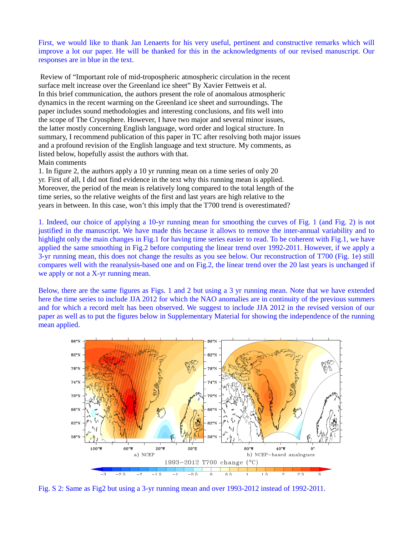First, we would like to thank Jan Lenaerts for his very useful, pertinent and constructive remarks which will improve a lot our paper. He will be thanked for this in the acknowledgments of our revised manuscript. Our responses are in blue in the text.

 Review of "Important role of mid-tropospheric atmospheric circulation in the recent surface melt increase over the Greenland ice sheet" By Xavier Fettweis et al. In this brief communication, the authors present the role of anomalous atmospheric dynamics in the recent warming on the Greenland ice sheet and surroundings. The paper includes sound methodologies and interesting conclusions, and fits well into the scope of The Cryosphere. However, I have two major and several minor issues, the latter mostly concerning English language, word order and logical structure. In summary, I recommend publication of this paper in TC after resolving both major issues and a profound revision of the English language and text structure. My comments, as listed below, hopefully assist the authors with that. Main comments

1. In figure 2, the authors apply a 10 yr running mean on a time series of only 20 yr. First of all, I did not find evidence in the text why this running mean is applied. Moreover, the period of the mean is relatively long compared to the total length of the time series, so the relative weights of the first and last years are high relative to the years in between. In this case, won't this imply that the T700 trend is overestimated?

1. Indeed, our choice of applying a 10-yr running mean for smoothing the curves of Fig. 1 (and Fig. 2) is not justified in the manuscript. We have made this because it allows to remove the inter-annual variability and to highlight only the main changes in Fig.1 for having time series easier to read. To be coherent with Fig.1, we have applied the same smoothing in Fig.2 before computing the linear trend over 1992-2011. However, if we apply a 3-yr running mean, this does not change the results as you see below. Our reconstruction of T700 (Fig. 1e) still compares well with the reanalysis-based one and on Fig.2, the linear trend over the 20 last years is unchanged if we apply or not a X-yr running mean.

Below, there are the same figures as Figs. 1 and 2 but using a 3 yr running mean. Note that we have extended here the time series to include JJA 2012 for which the NAO anomalies are in continuity of the previous summers and for which a record melt has been observed. We suggest to include JJA 2012 in the revised version of our paper as well as to put the figures below in Supplementary Material for showing the independence of the running mean applied.



Fig. S 2: Same as Fig2 but using a 3-yr running mean and over 1993-2012 instead of 1992-2011.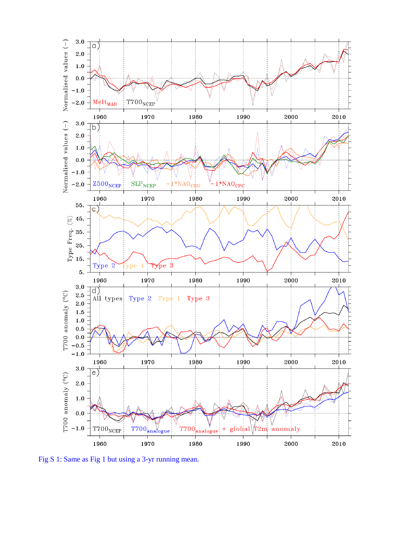

Fig S 1: Same as Fig 1 but using a 3-yr running mean.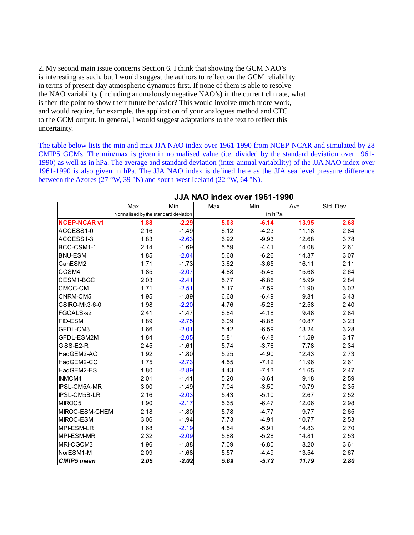2. My second main issue concerns Section 6. I think that showing the GCM NAO's is interesting as such, but I would suggest the authors to reflect on the GCM reliability in terms of present-day atmospheric dynamics first. If none of them is able to resolve the NAO variability (including anomalously negative NAO's) in the current climate, what is then the point to show their future behavior? This would involve much more work, and would require, for example, the application of your analogues method and CTC to the GCM output. In general, I would suggest adaptations to the text to reflect this uncertainty.

The table below lists the min and max JJA NAO index over 1961-1990 from NCEP-NCAR and simulated by 28 CMIP5 GCMs. The min/max is given in normalised value (i.e. divided by the standard deviation over 1961- 1990) as well as in hPa. The average and standard deviation (inter-annual variability) of the JJA NAO index over 1961-1990 is also given in hPa. The JJA NAO index is defined here as the JJA sea level pressure difference between the Azores (27 °W, 39 °N) and south-west Iceland (22 °W, 64 °N).

|                     | JJA NAO index over 1961-1990         |         |      |         |       |           |
|---------------------|--------------------------------------|---------|------|---------|-------|-----------|
|                     | Max                                  | Min     | Max  | Min     | Ave   | Std. Dev. |
|                     | Normalised by the standard deviation |         |      | in hPa  |       |           |
| <b>NCEP-NCAR v1</b> | 1.88                                 | $-2.29$ | 5.03 | $-6.14$ | 13.95 | 2.68      |
| ACCESS1-0           | 2.16                                 | $-1.49$ | 6.12 | $-4.23$ | 11.18 | 2.84      |
| ACCESS1-3           | 1.83                                 | $-2.63$ | 6.92 | $-9.93$ | 12.68 | 3.78      |
| BCC-CSM1-1          | 2.14                                 | $-1.69$ | 5.59 | $-4.41$ | 14.08 | 2.61      |
| <b>BNU-ESM</b>      | 1.85                                 | $-2.04$ | 5.68 | $-6.26$ | 14.37 | 3.07      |
| CanESM2             | 1.71                                 | $-1.73$ | 3.62 | $-3.65$ | 16.11 | 2.11      |
| CCSM4               | 1.85                                 | $-2.07$ | 4.88 | $-5.46$ | 15.68 | 2.64      |
| CESM1-BGC           | 2.03                                 | $-2.41$ | 5.77 | $-6.86$ | 15.99 | 2.84      |
| CMCC-CM             | 1.71                                 | $-2.51$ | 5.17 | $-7.59$ | 11.90 | 3.02      |
| CNRM-CM5            | 1.95                                 | $-1.89$ | 6.68 | $-6.49$ | 9.81  | 3.43      |
| CSIRO-Mk3-6-0       | 1.98                                 | $-2.20$ | 4.76 | $-5.28$ | 12.58 | 2.40      |
| FGOALS-s2           | 2.41                                 | $-1.47$ | 6.84 | $-4.18$ | 9.48  | 2.84      |
| <b>FIO-ESM</b>      | 1.89                                 | $-2.75$ | 6.09 | $-8.88$ | 10.87 | 3.23      |
| <b>GFDL-CM3</b>     | 1.66                                 | $-2.01$ | 5.42 | $-6.59$ | 13.24 | 3.28      |
| <b>GFDL-ESM2M</b>   | 1.84                                 | $-2.05$ | 5.81 | $-6.48$ | 11.59 | 3.17      |
| GISS-E2-R           | 2.45                                 | $-1.61$ | 5.74 | $-3.76$ | 7.78  | 2.34      |
| HadGEM2-AO          | 1.92                                 | $-1.80$ | 5.25 | $-4.90$ | 12.43 | 2.73      |
| HadGEM2-CC          | 1.75                                 | $-2.73$ | 4.55 | $-7.12$ | 11.96 | 2.61      |
| HadGEM2-ES          | 1.80                                 | $-2.89$ | 4.43 | $-7.13$ | 11.65 | 2.47      |
| <b>INMCM4</b>       | 2.01                                 | $-1.41$ | 5.20 | $-3.64$ | 9.18  | 2.59      |
| <b>IPSL-CM5A-MR</b> | 3.00                                 | $-1.49$ | 7.04 | $-3.50$ | 10.79 | 2.35      |
| <b>IPSL-CM5B-LR</b> | 2.16                                 | $-2.03$ | 5.43 | $-5.10$ | 2.67  | 2.52      |
| MIROC5              | 1.90                                 | $-2.17$ | 5.65 | $-6.47$ | 12.06 | 2.98      |
| MIROC-ESM-CHEM      | 2.18                                 | $-1.80$ | 5.78 | $-4.77$ | 9.77  | 2.65      |
| MIROC-ESM           | 3.06                                 | $-1.94$ | 7.73 | $-4.91$ | 10.77 | 2.53      |
| MPI-ESM-LR          | 1.68                                 | $-2.19$ | 4.54 | $-5.91$ | 14.83 | 2.70      |
| MPI-ESM-MR          | 2.32                                 | $-2.09$ | 5.88 | $-5.28$ | 14.81 | 2.53      |
| <b>IMRI-CGCM3</b>   | 1.96                                 | $-1.88$ | 7.09 | $-6.80$ | 8.20  | 3.61      |
| NorESM1-M           | 2.09                                 | $-1.68$ | 5.57 | $-4.49$ | 13.54 | 2.67      |
| <b>CMIP5</b> mean   | 2.05                                 | $-2.02$ | 5.69 | $-5.72$ | 11.79 | 2.80      |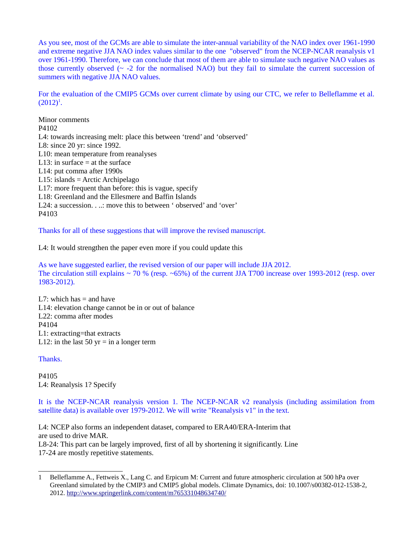As you see, most of the GCMs are able to simulate the inter-annual variability of the NAO index over 1961-1990 and extreme negative JJA NAO index values similar to the one "observed" from the NCEP-NCAR reanalysis v1 over 1961-1990. Therefore, we can conclude that most of them are able to simulate such negative NAO values as those currently observed ( $\sim$  -2 for the normalised NAO) but they fail to simulate the current succession of summers with negative JJA NAO values.

For the evaluation of the CMIP5 GCMs over current climate by using our CTC, we refer to Belleflamme et al.  $(2012)^{1}$  $(2012)^{1}$  $(2012)^{1}$ .

Minor comments P4102 L4: towards increasing melt: place this between 'trend' and 'observed' L8: since 20 yr: since 1992. L10: mean temperature from reanalyses L13: in surface  $=$  at the surface L14: put comma after 1990s L15: islands = Arctic Archipelago L17: more frequent than before: this is vague, specify L18: Greenland and the Ellesmere and Baffin Islands L24: a succession. . ..: move this to between ' observed' and 'over' P4103

Thanks for all of these suggestions that will improve the revised manuscript.

L4: It would strengthen the paper even more if you could update this

As we have suggested earlier, the revised version of our paper will include JJA 2012. The circulation still explains ~ 70 % (resp. ~65%) of the current JJA T700 increase over 1993-2012 (resp. over 1983-2012).

L7: which has  $=$  and have L14: elevation change cannot be in or out of balance L22: comma after modes P4104 L1: extracting=that extracts L12: in the last 50  $yr = in a longer term$ 

Thanks.

P4105 L4: Reanalysis 1? Specify

It is the NCEP-NCAR reanalysis version 1. The NCEP-NCAR v2 reanalysis (including assimilation from satellite data) is available over 1979-2012. We will write "Reanalysis v1" in the text.

L4: NCEP also forms an independent dataset, compared to ERA40/ERA-Interim that are used to drive MAR. L8-24: This part can be largely improved, first of all by shortening it significantly. Line

17-24 are mostly repetitive statements.

<span id="page-3-0"></span><sup>1</sup> Belleflamme A., Fettweis X., Lang C. and Erpicum M: Current and future atmospheric circulation at 500 hPa over Greenland simulated by the CMIP3 and CMIP5 global models. Climate Dynamics, doi: 10.1007/s00382-012-1538-2, 2012.<http://www.springerlink.com/content/m765331048634740/>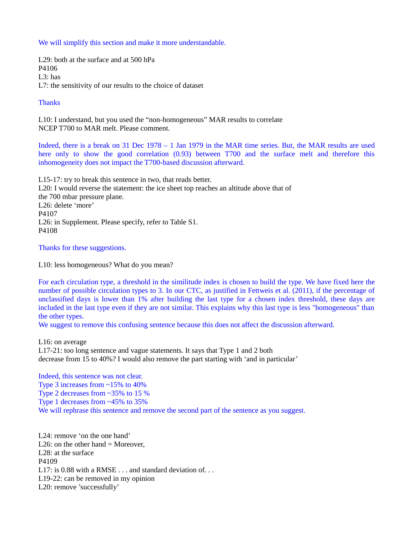We will simplify this section and make it more understandable.

L29: both at the surface and at 500 hPa P4106 L3: has L7: the sensitivity of our results to the choice of dataset

## **Thanks**

L10: I understand, but you used the "non-homogeneous" MAR results to correlate NCEP T700 to MAR melt. Please comment.

Indeed, there is a break on 31 Dec 1978 – 1 Jan 1979 in the MAR time series. But, the MAR results are used here only to show the good correlation (0.93) between T700 and the surface melt and therefore this inhomogeneity does not impact the T700-based discussion afterward.

L15-17: try to break this sentence in two, that reads better. L20: I would reverse the statement: the ice sheet top reaches an altitude above that of the 700 mbar pressure plane. L26: delete 'more' P4107 L26: in Supplement. Please specify, refer to Table S1. P4108

Thanks for these suggestions.

L10: less homogeneous? What do you mean?

For each circulation type, a threshold in the similitude index is chosen to build the type. We have fixed here the number of possible circulation types to 3. In our CTC, as justified in Fettweis et al. (2011), if the percentage of unclassified days is lower than 1% after building the last type for a chosen index threshold, these days are included in the last type even if they are not similar. This explains why this last type is less "homogeneous" than the other types.

We suggest to remove this confusing sentence because this does not affect the discussion afterward.

L16: on average L17-21: too long sentence and vague statements. It says that Type 1 and 2 both decrease from 15 to 40%? I would also remove the part starting with 'and in particular'

Indeed, this sentence was not clear. Type 3 increases from  $~15\%$  to  $40\%$ Type 2 decreases from ~35% to 15 % Type 1 decreases from ~45% to 35% We will rephrase this sentence and remove the second part of the sentence as you suggest.

L24: remove 'on the one hand' L26: on the other hand  $=$  Moreover, L28: at the surface P4109 L17: is 0.88 with a RMSE . . . and standard deviation of. . . L19-22: can be removed in my opinion L20: remove 'successfully'